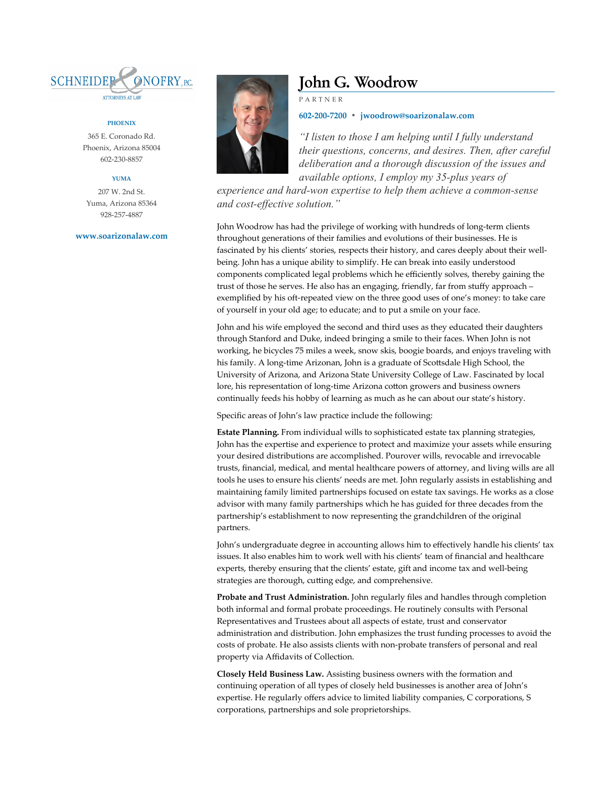

#### **PHOENIX**

365 E. Coronado Rd. Phoenix, Arizona 85004 602-230-8857

# **YUMA**

207 W. 2nd St. Yuma, Arizona 85364 928-257-4887

#### **www.soarizonalaw.com**



# **John G. Woodrow**

PARTNER

**602-200-7200 • jwoodrow@soarizonalaw.com** 

*"I listen to those I am helping until I fully understand their questions, concerns, and desires. Then, after careful deliberation and a thorough discussion of the issues and available options, I employ my 35-plus years of* 

*experience and hard-won expertise to help them achieve a common-sense and cost-effective solution."* 

John Woodrow has had the privilege of working with hundreds of long-term clients throughout generations of their families and evolutions of their businesses. He is fascinated by his clients' stories, respects their history, and cares deeply about their wellbeing. John has a unique ability to simplify. He can break into easily understood components complicated legal problems which he efficiently solves, thereby gaining the trust of those he serves. He also has an engaging, friendly, far from stuffy approach – exemplified by his oft-repeated view on the three good uses of one's money: to take care of yourself in your old age; to educate; and to put a smile on your face.

John and his wife employed the second and third uses as they educated their daughters through Stanford and Duke, indeed bringing a smile to their faces. When John is not working, he bicycles 75 miles a week, snow skis, boogie boards, and enjoys traveling with his family. A long-time Arizonan, John is a graduate of Scottsdale High School, the University of Arizona, and Arizona State University College of Law. Fascinated by local lore, his representation of long-time Arizona cotton growers and business owners continually feeds his hobby of learning as much as he can about our state's history.

Specific areas of John's law practice include the following:

**Estate Planning.** From individual wills to sophisticated estate tax planning strategies, John has the expertise and experience to protect and maximize your assets while ensuring your desired distributions are accomplished. Pourover wills, revocable and irrevocable trusts, financial, medical, and mental healthcare powers of attorney, and living wills are all tools he uses to ensure his clients' needs are met. John regularly assists in establishing and maintaining family limited partnerships focused on estate tax savings. He works as a close advisor with many family partnerships which he has guided for three decades from the partnership's establishment to now representing the grandchildren of the original partners.

John's undergraduate degree in accounting allows him to effectively handle his clients' tax issues. It also enables him to work well with his clients' team of financial and healthcare experts, thereby ensuring that the clients' estate, gift and income tax and well-being strategies are thorough, cutting edge, and comprehensive.

**Probate and Trust Administration.** John regularly files and handles through completion both informal and formal probate proceedings. He routinely consults with Personal Representatives and Trustees about all aspects of estate, trust and conservator administration and distribution. John emphasizes the trust funding processes to avoid the costs of probate. He also assists clients with non-probate transfers of personal and real property via Affidavits of Collection.

**Closely Held Business Law.** Assisting business owners with the formation and continuing operation of all types of closely held businesses is another area of John's expertise. He regularly offers advice to limited liability companies, C corporations, S corporations, partnerships and sole proprietorships.